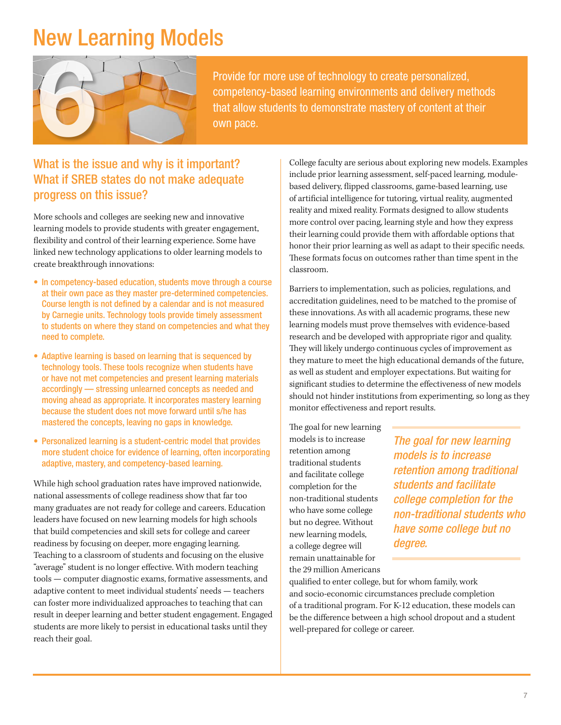### New Learning Models



Provide for more use of technology to create personalized, competency-based learning environments and delivery methods that allow students to demonstrate mastery of content at their own pace

#### What if SREB states do not make adequate progress on this issue?

More schools and colleges are seeking new and innovative learning models to provide students with greater engagement, fexibility and control of their learning experience. Some have linked new technology applications to older learning models to create breakthrough innovations:

- In competency-based education, students move through a course at their own pace as they master pre-determined competencies. Course length is not defned by a calendar and is not measured by Carnegie units. Technology tools provide timely assessment to students on where they stand on competencies and what they need to complete.
- Adaptive learning is based on learning that is sequenced by technology tools. These tools recognize when students have or have not met competencies and present learning materials accordingly — stressing unlearned concepts as needed and moving ahead as appropriate. It incorporates mastery learning because the student does not move forward until s/he has mastered the concepts, leaving no gaps in knowledge.
- Personalized learning is a student-centric model that provides more student choice for evidence of learning, often incorporating adaptive, mastery, and competency-based learning.

While high school graduation rates have improved nationwide, national assessments of college readiness show that far too many graduates are not ready for college and careers. Education leaders have focused on new learning models for high schools that build competencies and skill sets for college and career readiness by focusing on deeper, more engaging learning. Teaching to a classroom of students and focusing on the elusive "average" student is no longer efective. With modern teaching tools — computer diagnostic exams, formative assessments, and adaptive content to meet individual students' needs — teachers can foster more individualized approaches to teaching that can result in deeper learning and better student engagement. Engaged students are more likely to persist in educational tasks until they reach their goal.

College faculty are serious about exploring new models. Examples include prior learning assessment, self-paced learning, modulebased delivery, fipped classrooms, game-based learning, use of artifcial intelligence for tutoring, virtual reality, augmented reality and mixed reality. Formats designed to allow students more control over pacing, learning style and how they express their learning could provide them with afordable options that honor their prior learning as well as adapt to their specifc needs. These formats focus on outcomes rather than time spent in the classroom.

monitor effectiveness and report results.<br>The goal for new learning Barriers to implementation, such as policies, regulations, and accreditation guidelines, need to be matched to the promise of these innovations. As with all academic programs, these new learning models must prove themselves with evidence-based research and be developed with appropriate rigor and quality. They will likely undergo continuous cycles of improvement as they mature to meet the high educational demands of the future, as well as student and employer expectations. But waiting for signifcant studies to determine the efectiveness of new models should not hinder institutions from experimenting, so long as they

a college degree will *degree.*  remain unattainable for the 29 million Americans

models is to increase *The goal for new learning* retention among retention among *models is to increase* traditional students *retention among traditional* and facilitate college completion for the *students and facilitate*  non-traditional students *college completion for the*  who have some college *non-traditional students who*  but no degree. Without *have some college but no* new learning models,

qualifed to enter college, but for whom family, work and socio-economic circumstances preclude completion of a traditional program. For K-12 education, these models can be the diference between a high school dropout and a student well-prepared for college or career.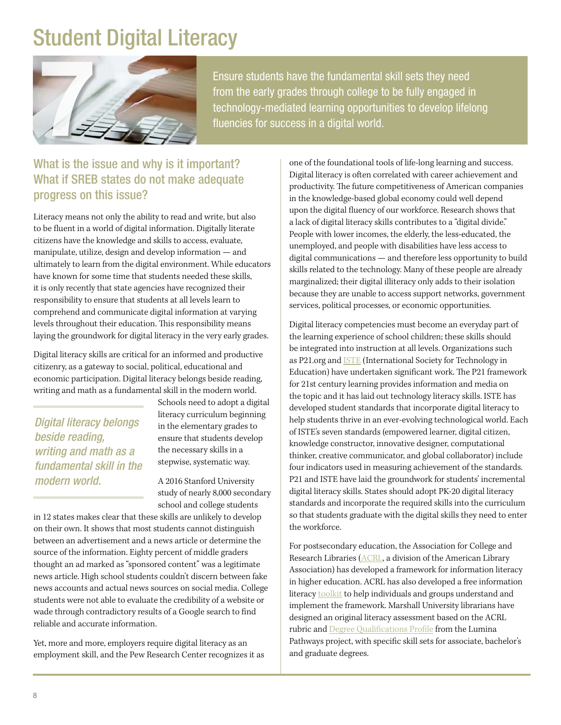### Student Digital Literacy



Ensure students have the fundamental skill sets they need from the early grades through college to be fully engaged in technology-mediated learning opportunities to develop lifelong fluencies for success in a digital world.

### What if SREB states do not make adequate progress on this issue?

Literacy means not only the ability to read and write, but also to be fuent in a world of digital information. Digitally literate citizens have the knowledge and skills to access, evaluate, manipulate, utilize, design and develop information — and ultimately to learn from the digital environment. While educators have known for some time that students needed these skills, it is only recently that state agencies have recognized their responsibility to ensure that students at all levels learn to comprehend and communicate digital information at varying levels throughout their education. This responsibility means laying the groundwork for digital literacy in the very early grades.

Digital literacy skills are critical for an informed and productive citizenry, as a gateway to social, political, educational and economic participation. Digital literacy belongs beside reading, writing and math as a fundamental skill in the modern world.

*Digital literacy belongs* in the elementary grades to<br>beside reading. *writing and math as a* the necessary skills in a<br>*tundamental skill in the* stepwise, systematic way. fundamental skill in the *modern world.* A 2016 Stanford University

Schools need to adopt a digital literacy curriculum beginning *beside reading,* ensure that students develop

study of nearly 8,000 secondary school and college students

in 12 states makes clear that these skills are unlikely to develop on their own. It shows that most students cannot distinguish between an advertisement and a news article or determine the source of the information. Eighty percent of middle graders thought an ad marked as "sponsored content" was a legitimate news article. High school students couldn't discern between fake news accounts and actual news sources on social media. College students were not able to evaluate the credibility of a website or wade through contradictory results of a Google search to fnd reliable and accurate information.

Yet, more and more, employers require digital literacy as an employment skill, and the Pew Research Center recognizes it as one of the foundational tools of life-long learning and success. productivity. The future competitiveness of American companies Digital literacy is often correlated with career achievement and in the knowledge-based global economy could well depend upon the digital fuency of our workforce. Research shows that a lack of digital literacy skills contributes to a "digital divide." People with lower incomes, the elderly, the less-educated, the unemployed, and people with disabilities have less access to digital communications — and therefore less opportunity to build skills related to the technology. Many of these people are already marginalized; their digital illiteracy only adds to their isolation because they are unable to access support networks, government services, political processes, or economic opportunities.

Digital literacy competencies must become an everyday part of the learning experience of school children; these skills should be integrated into instruction at all levels. Organizations such as P21.org and ISTE (International Society for Technology in Education) have undertaken significant work. The P21 framework for 21st century learning provides information and media on the topic and it has laid out technology literacy skills. ISTE has developed student standards that incorporate digital literacy to help students thrive in an ever-evolving technological world. Each of ISTE's seven standards (empowered learner, digital citizen, knowledge constructor, innovative designer, computational thinker, creative communicator, and global collaborator) include four indicators used in measuring achievement of the standards. P21 and ISTE have laid the groundwork for students' incremental digital literacy skills. States should adopt PK-20 digital literacy standards and incorporate the required skills into the curriculum so that students graduate with the digital skills they need to enter the workforce.

For postsecondary education, the Association for College and Research Libraries (ACRL, a division of the American Library Association) has developed a framework for information literacy in higher education. ACRL has also developed a free information literacy toolkit to help individuals and groups understand and implement the framework. Marshall University librarians have designed an original literacy assessment based on the ACRL rubric and Degree Qualifications Profile from the Lumina Pathways project, with specifc skill sets for associate, bachelor's and graduate degrees.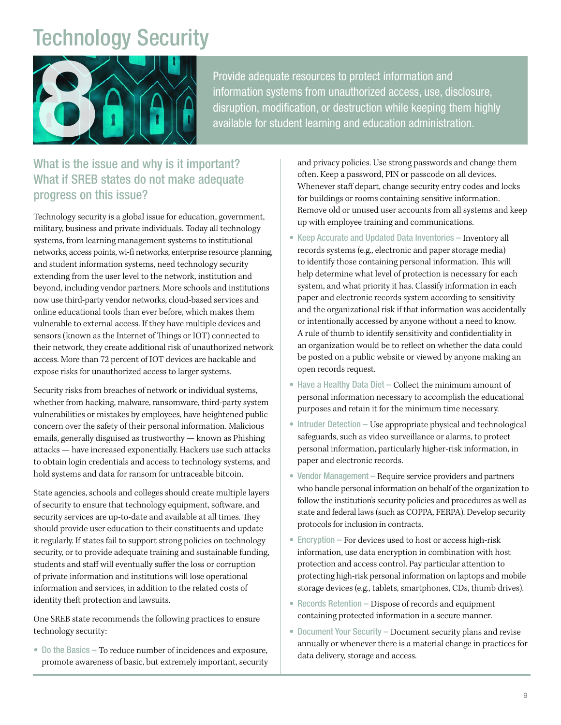## Technology Security



Provide adequate resources to protect information and<br>information systems from unauthorized access, use, dis<br>disruption, modification, or destruction while keeping the<br>available for student learning and education administr information systems from unauthorized access, use, disclosure, disruption, modification, or destruction while keeping them highly available for student learning and education administration

#### What is the issue and why is it important? What if SREB states do not make adequate progress on this issue?

 now use third-party vendor networks, cloud-based services and Technology security is a global issue for education, government, military, business and private individuals. Today all technology systems, from learning management systems to institutional networks, access points, wi-f networks, enterprise resource planning, and student information systems, need technology security extending from the user level to the network, institution and beyond, including vendor partners. More schools and institutions online educational tools than ever before, which makes them vulnerable to external access. If they have multiple devices and sensors (known as the Internet of Things or IOT) connected to their network, they create additional risk of unauthorized network access. More than 72 percent of IOT devices are hackable and expose risks for unauthorized access to larger systems.

Security risks from breaches of network or individual systems, whether from hacking, malware, ransomware, third-party system vulnerabilities or mistakes by employees, have heightened public concern over the safety of their personal information. Malicious emails, generally disguised as trustworthy — known as Phishing attacks — have increased exponentially. Hackers use such attacks to obtain login credentials and access to technology systems, and hold systems and data for ransom for untraceable bitcoin.

State agencies, schools and colleges should create multiple layers of security to ensure that technology equipment, software, and security services are up-to-date and available at all times. They should provide user education to their constituents and update it regularly. If states fail to support strong policies on technology security, or to provide adequate training and sustainable funding, students and staff will eventually suffer the loss or corruption of private information and institutions will lose operational information and services, in addition to the related costs of identity theft protection and lawsuits.

One SREB state recommends the following practices to ensure technology security:

• Do the Basics – To reduce number of incidences and exposure, promote awareness of basic, but extremely important, security and privacy policies. Use strong passwords and change them often. Keep a password, PIN or passcode on all devices. Whenever staff depart, change security entry codes and locks for buildings or rooms containing sensitive information. Remove old or unused user accounts from all systems and keep up with employee training and communications.

- Keep Accurate and Updated Data Inventories Inventory all records systems (e.g., electronic and paper storage media) to identify those containing personal information. This will help determine what level of protection is necessary for each system, and what priority it has. Classify information in each paper and electronic records system according to sensitivity and the organizational risk if that information was accidentally or intentionally accessed by anyone without a need to know. A rule of thumb to identify sensitivity and confdentiality in an organization would be to refect on whether the data could be posted on a public website or viewed by anyone making an open records request.
- Have a Healthy Data Diet Collect the minimum amount of personal information necessary to accomplish the educational purposes and retain it for the minimum time necessary.
- Intruder Detection Use appropriate physical and technological safeguards, such as video surveillance or alarms, to protect personal information, particularly higher-risk information, in paper and electronic records.
- Vendor Management Require service providers and partners who handle personal information on behalf of the organization to follow the institution's security policies and procedures as well as state and federal laws (such as COPPA, FERPA). Develop security protocols for inclusion in contracts.
- Encryption For devices used to host or access high-risk information, use data encryption in combination with host protection and access control. Pay particular attention to protecting high-risk personal information on laptops and mobile storage devices (e.g., tablets, smartphones, CDs, thumb drives).
- Records Retention Dispose of records and equipment containing protected information in a secure manner.
- Document Your Security Document security plans and revise annually or whenever there is a material change in practices for data delivery, storage and access.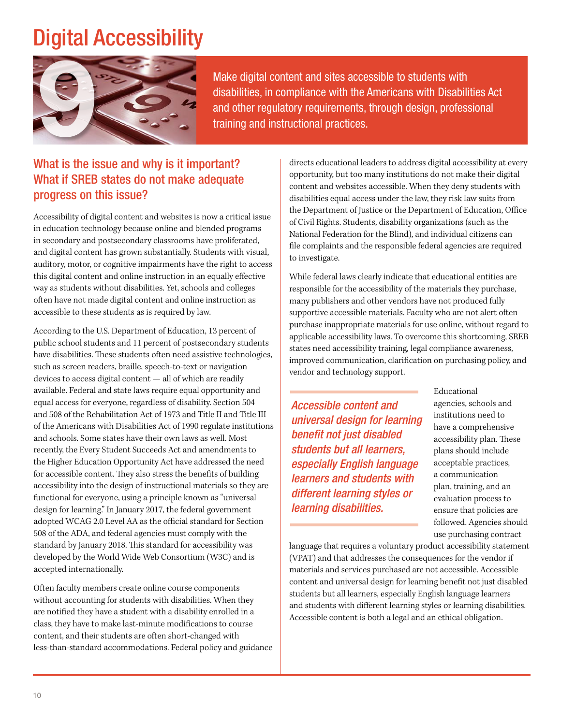# Digital Accessibility



Make digital content and sites accessible to students with disabilities, in compliance with the Americans with Disabilities Act Make digital content and sites accessible to students with<br>disabilities, in compliance with the Americans with Disabilities A<br>and other regulatory requirements, through design, professional<br>training and instructional pract

#### What is the issue and why is it important? What if SREB states do not make adequate progress on this issue?

Accessibility of digital content and websites is now a critical issue in education technology because online and blended programs in secondary and postsecondary classrooms have proliferated, and digital content has grown substantially. Students with visual, auditory, motor, or cognitive impairments have the right to access this digital content and online instruction in an equally efective way as students without disabilities. Yet, schools and colleges often have not made digital content and online instruction as accessible to these students as is required by law.

According to the U.S. Department of Education, 13 percent of public school students and 11 percent of postsecondary students have disabilities. These students often need assistive technologies, such as screen readers, braille, speech-to-text or navigation devices to access digital content — all of which are readily available. Federal and state laws require equal opportunity and equal access for everyone, regardless of disability. Section 504 and 508 of the Rehabilitation Act of 1973 and Title II and Title III of the Americans with Disabilities Act of 1990 regulate institutions and schools. Some states have their own laws as well. Most recently, the Every Student Succeeds Act and amendments to the Higher Education Opportunity Act have addressed the need for accessible content. They also stress the benefits of building accessibility into the design of instructional materials so they are functional for everyone, using a principle known as "universal design for learning." In January 2017, the federal government adopted WCAG 2.0 Level AA as the official standard for Section 508 of the ADA, and federal agencies must comply with the standard by January 2018. This standard for accessibility was developed by the World Wide Web Consortium (W3C) and is accepted internationally.

Often faculty members create online course components without accounting for students with disabilities. When they are notifed they have a student with a disability enrolled in a class, they have to make last-minute modifcations to course content, and their students are often short-changed with less-than-standard accommodations. Federal policy and guidance directs educational leaders to address digital accessibility at every opportunity, but too many institutions do not make their digital content and websites accessible. When they deny students with disabilities equal access under the law, they risk law suits from the Department of Justice or the Department of Education, Office of Civil Rights. Students, disability organizations (such as the National Federation for the Blind), and individual citizens can fle complaints and the responsible federal agencies are required to investigate.

While federal laws clearly indicate that educational entities are responsible for the accessibility of the materials they purchase, many publishers and other vendors have not produced fully supportive accessible materials. Faculty who are not alert often purchase inappropriate materials for use online, without regard to applicable accessibility laws. To overcome this shortcoming, SREB states need accessibility training, legal compliance awareness, improved communication, clarifcation on purchasing policy, and vendor and technology support.

**Accessible content and** agencies, schools and *missime* institutions need to **institutions need to** *universal design for learning* bave a comprehensive *benefit not just disabled* accessibility plan. These *students but all learners,* plans should include **especially English language** acceptable practices, *learners and students with* a communication<br>*learners and students with* plan, training, and an different learning styles or **different** learning styles or **different** evaluation process to *learning disabilities.* ensure that policies are

Educational followed. Agencies should use purchasing contract

language that requires a voluntary product accessibility statement (VPAT) and that addresses the consequences for the vendor if materials and services purchased are not accessible. Accessible content and universal design for learning beneft not just disabled students but all learners, especially English language learners and students with diferent learning styles or learning disabilities. Accessible content is both a legal and an ethical obligation.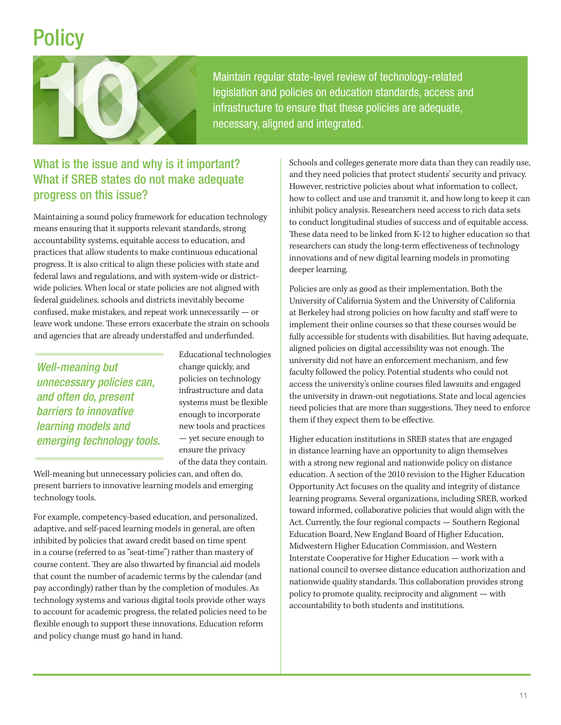# **Policy**



Maintain regular state-level review of technology-related legislation and policies on education standards, access and Maintain regular state-level review of technology-related<br>legislation and policies on education standards, access are<br>infrastructure to ensure that these policies are adequate,<br>necessary, aligned and integrated.<br>What is th

#### What is the issue and why is it important? What if SREB states do not make adequate progress on this issue?

Maintaining a sound policy framework for education technology means ensuring that it supports relevant standards, strong accountability systems, equitable access to education, and practices that allow students to make continuous educational progress. It is also critical to align these policies with state and federal laws and regulations, and with system-wide or districtwide policies. When local or state policies are not aligned with federal guidelines, schools and districts inevitably become confused, make mistakes, and repeat work unnecessarily — or leave work undone. These errors exacerbate the strain on schools and agencies that are already understafed and underfunded.

*Well-meaning but* change quickly, and<br> **unnecessary** policies can policies on technology **unnecessary policies can,** policies policies policies on technology<br>and often do, present systems must be flexible **barriers to innovative** enough to incorporate *learning models and* new tools and practices emerging technology tools. <sup>-yet secure enough to ensure the privacy</sup>

Educational technologies of the data they contain.

Well-meaning but unnecessary policies can, and often do, present barriers to innovative learning models and emerging technology tools.

For example, competency-based education, and personalized, adaptive, and self-paced learning models in general, are often inhibited by policies that award credit based on time spent in a course (referred to as "seat-time") rather than mastery of course content. They are also thwarted by financial aid models that count the number of academic terms by the calendar (and pay accordingly) rather than by the completion of modules. As technology systems and various digital tools provide other ways to account for academic progress, the related policies need to be fexible enough to support these innovations. Education reform and policy change must go hand in hand.

Schools and colleges generate more data than they can readily use, and they need policies that protect students' security and privacy. However, restrictive policies about what information to collect, how to collect and use and transmit it, and how long to keep it can inhibit policy analysis. Researchers need access to rich data sets to conduct longitudinal studies of success and of equitable access. These data need to be linked from K-12 to higher education so that researchers can study the long-term efectiveness of technology innovations and of new digital learning models in promoting deeper learning.

Policies are only as good as their implementation. Both the University of California System and the University of California at Berkeley had strong policies on how faculty and staff were to implement their online courses so that these courses would be fully accessible for students with disabilities. But having adequate, aligned policies on digital accessibility was not enough. The university did not have an enforcement mechanism, and few faculty followed the policy. Potential students who could not access the university's online courses fled lawsuits and engaged the university in drawn-out negotiations. State and local agencies need policies that are more than suggestions. They need to enforce them if they expect them to be efective.

Higher education institutions in SREB states that are engaged in distance learning have an opportunity to align themselves with a strong new regional and nationwide policy on distance education. A section of the 2010 revision to the Higher Education Opportunity Act focuses on the quality and integrity of distance learning programs. Several organizations, including SREB, worked toward informed, collaborative policies that would align with the Act. Currently, the four regional compacts — Southern Regional Education Board, New England Board of Higher Education, Midwestern Higher Education Commission, and Western Interstate Cooperative for Higher Education — work with a national council to oversee distance education authorization and nationwide quality standards. This collaboration provides strong policy to promote quality, reciprocity and alignment — with accountability to both students and institutions.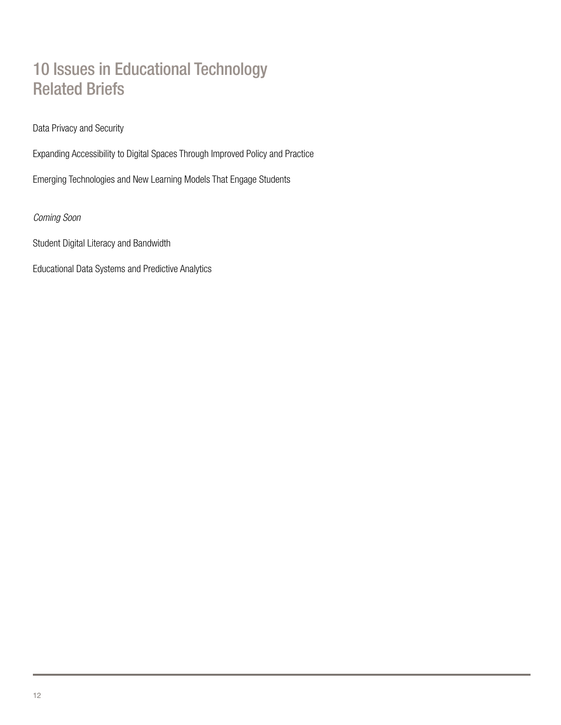#### 10 Issues in Educational Technology Related Briefs

Data Privacy and Security

Expanding Accessibility to Digital Spaces Through Improved Policy and Practice

Emerging Technologies and New Learning Models That Engage Students

*Coming Soon* 

Student Digital Literacy and Bandwidth

Educational Data Systems and Predictive Analytics